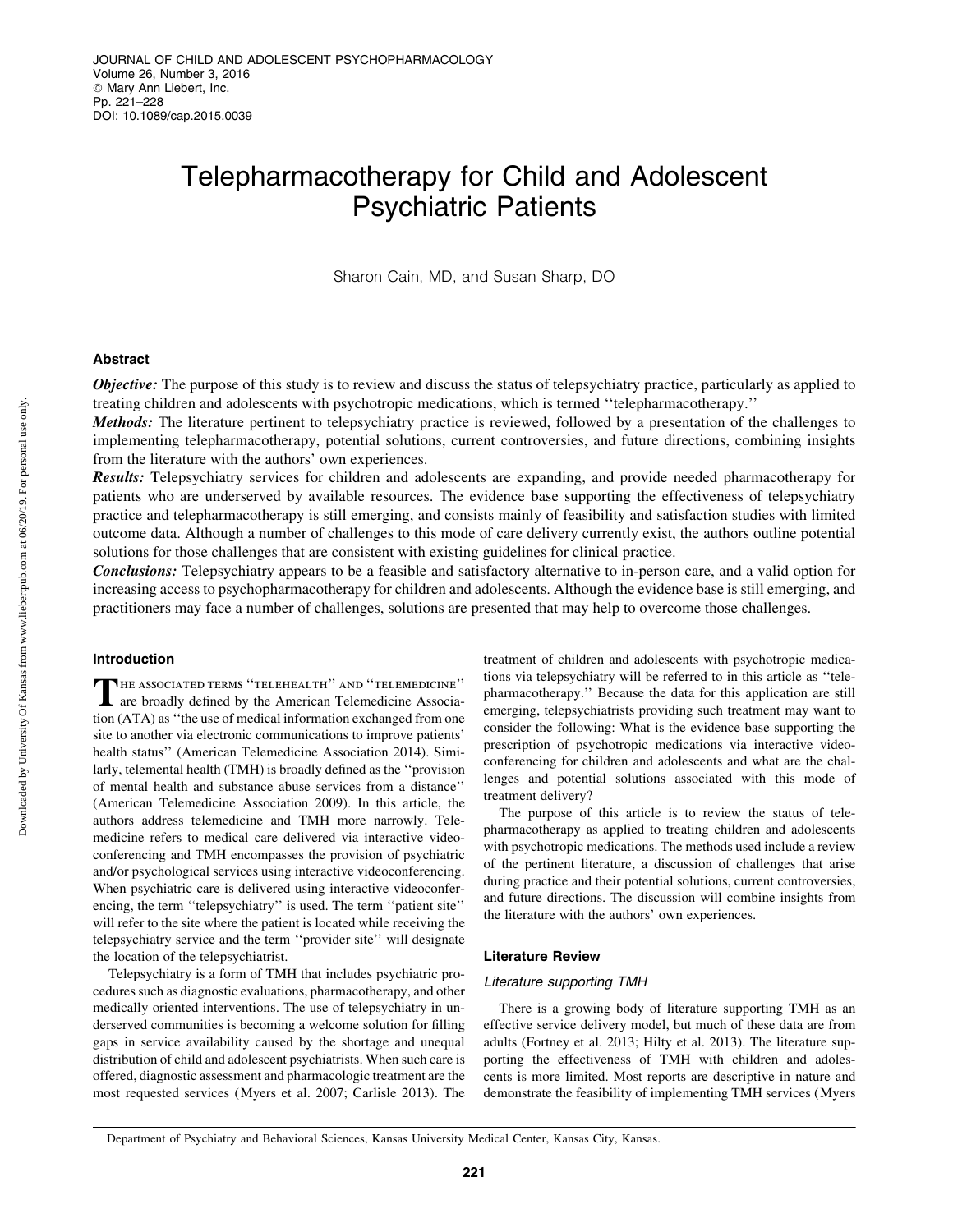# Telepharmacotherapy for Child and Adolescent Psychiatric Patients

Sharon Cain, MD, and Susan Sharp, DO

# Abstract

**Objective:** The purpose of this study is to review and discuss the status of telepsychiatry practice, particularly as applied to treating children and adolescents with psychotropic medications, which is termed ''telepharmacotherapy.''

Methods: The literature pertinent to telepsychiatry practice is reviewed, followed by a presentation of the challenges to implementing telepharmacotherapy, potential solutions, current controversies, and future directions, combining insights from the literature with the authors' own experiences.

Results: Telepsychiatry services for children and adolescents are expanding, and provide needed pharmacotherapy for patients who are underserved by available resources. The evidence base supporting the effectiveness of telepsychiatry practice and telepharmacotherapy is still emerging, and consists mainly of feasibility and satisfaction studies with limited outcome data. Although a number of challenges to this mode of care delivery currently exist, the authors outline potential solutions for those challenges that are consistent with existing guidelines for clinical practice.

Conclusions: Telepsychiatry appears to be a feasible and satisfactory alternative to in-person care, and a valid option for increasing access to psychopharmacotherapy for children and adolescents. Although the evidence base is still emerging, and practitioners may face a number of challenges, solutions are presented that may help to overcome those challenges.

# Introduction

THE ASSOCIATED TERMS "TELEHEALTH" AND "TELEMEDICINE"<br>are broadly defined by the American Telemedicine Association (ATA) as ''the use of medical information exchanged from one site to another via electronic communications to improve patients' health status'' (American Telemedicine Association 2014). Similarly, telemental health (TMH) is broadly defined as the ''provision of mental health and substance abuse services from a distance'' (American Telemedicine Association 2009). In this article, the authors address telemedicine and TMH more narrowly. Telemedicine refers to medical care delivered via interactive videoconferencing and TMH encompasses the provision of psychiatric and/or psychological services using interactive videoconferencing. When psychiatric care is delivered using interactive videoconferencing, the term ''telepsychiatry'' is used. The term ''patient site'' will refer to the site where the patient is located while receiving the telepsychiatry service and the term ''provider site'' will designate the location of the telepsychiatrist.

Telepsychiatry is a form of TMH that includes psychiatric procedures such as diagnostic evaluations, pharmacotherapy, and other medically oriented interventions. The use of telepsychiatry in underserved communities is becoming a welcome solution for filling gaps in service availability caused by the shortage and unequal distribution of child and adolescent psychiatrists. When such care is offered, diagnostic assessment and pharmacologic treatment are the most requested services (Myers et al. 2007; Carlisle 2013). The treatment of children and adolescents with psychotropic medications via telepsychiatry will be referred to in this article as ''telepharmacotherapy.'' Because the data for this application are still emerging, telepsychiatrists providing such treatment may want to consider the following: What is the evidence base supporting the prescription of psychotropic medications via interactive videoconferencing for children and adolescents and what are the challenges and potential solutions associated with this mode of treatment delivery?

The purpose of this article is to review the status of telepharmacotherapy as applied to treating children and adolescents with psychotropic medications. The methods used include a review of the pertinent literature, a discussion of challenges that arise during practice and their potential solutions, current controversies, and future directions. The discussion will combine insights from the literature with the authors' own experiences.

## Literature Review

## Literature supporting TMH

There is a growing body of literature supporting TMH as an effective service delivery model, but much of these data are from adults (Fortney et al. 2013; Hilty et al. 2013). The literature supporting the effectiveness of TMH with children and adolescents is more limited. Most reports are descriptive in nature and demonstrate the feasibility of implementing TMH services (Myers

Department of Psychiatry and Behavioral Sciences, Kansas University Medical Center, Kansas City, Kansas.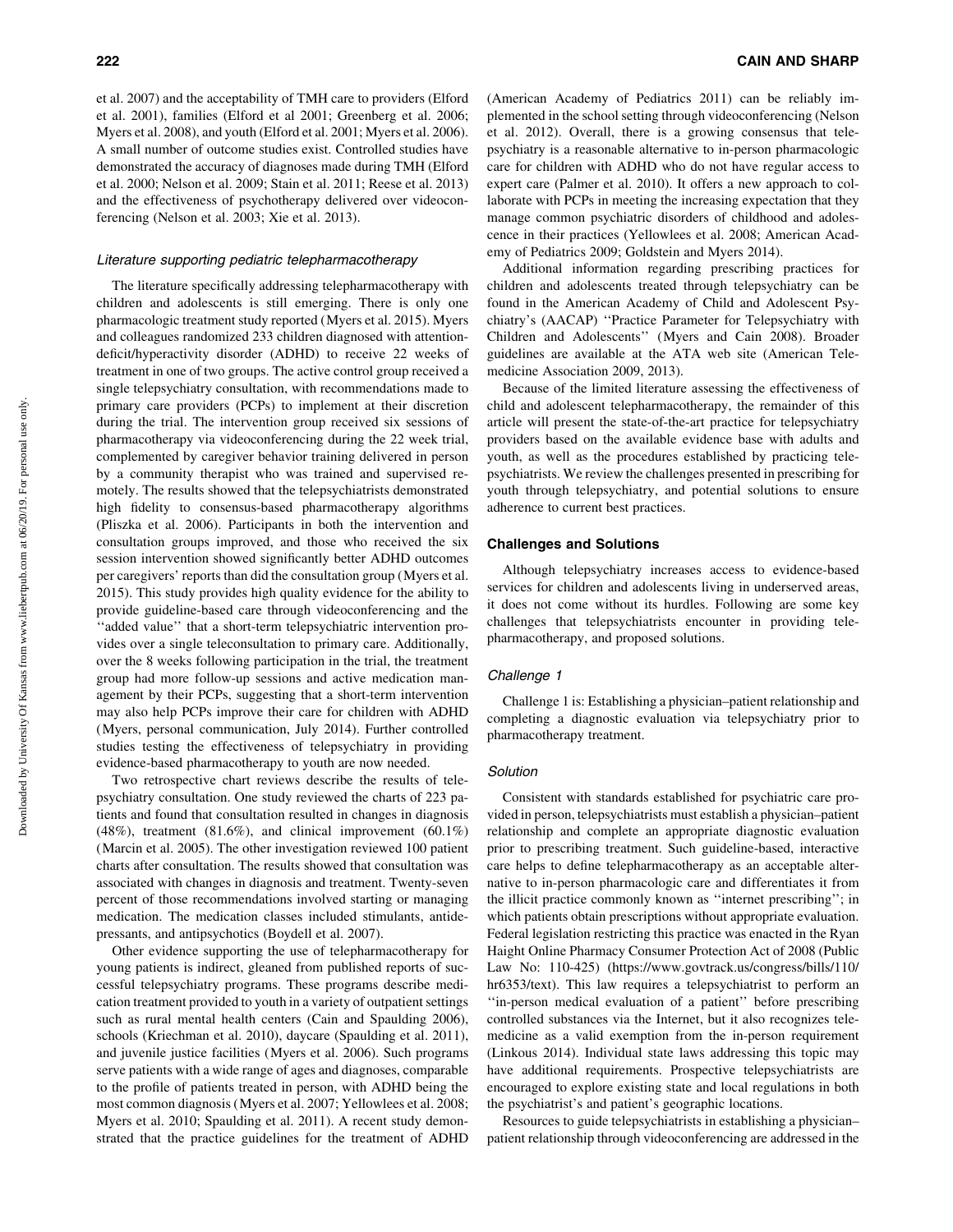et al. 2007) and the acceptability of TMH care to providers (Elford et al. 2001), families (Elford et al 2001; Greenberg et al. 2006; Myers et al. 2008), and youth (Elford et al. 2001; Myers et al. 2006). A small number of outcome studies exist. Controlled studies have demonstrated the accuracy of diagnoses made during TMH (Elford et al. 2000; Nelson et al. 2009; Stain et al. 2011; Reese et al. 2013) and the effectiveness of psychotherapy delivered over videoconferencing (Nelson et al. 2003; Xie et al. 2013).

#### Literature supporting pediatric telepharmacotherapy

The literature specifically addressing telepharmacotherapy with children and adolescents is still emerging. There is only one pharmacologic treatment study reported (Myers et al. 2015). Myers and colleagues randomized 233 children diagnosed with attentiondeficit/hyperactivity disorder (ADHD) to receive 22 weeks of treatment in one of two groups. The active control group received a single telepsychiatry consultation, with recommendations made to primary care providers (PCPs) to implement at their discretion during the trial. The intervention group received six sessions of pharmacotherapy via videoconferencing during the 22 week trial, complemented by caregiver behavior training delivered in person by a community therapist who was trained and supervised remotely. The results showed that the telepsychiatrists demonstrated high fidelity to consensus-based pharmacotherapy algorithms (Pliszka et al. 2006). Participants in both the intervention and consultation groups improved, and those who received the six session intervention showed significantly better ADHD outcomes per caregivers' reports than did the consultation group (Myers et al. 2015). This study provides high quality evidence for the ability to provide guideline-based care through videoconferencing and the ''added value'' that a short-term telepsychiatric intervention provides over a single teleconsultation to primary care. Additionally, over the 8 weeks following participation in the trial, the treatment group had more follow-up sessions and active medication management by their PCPs, suggesting that a short-term intervention may also help PCPs improve their care for children with ADHD (Myers, personal communication, July 2014). Further controlled studies testing the effectiveness of telepsychiatry in providing evidence-based pharmacotherapy to youth are now needed.

Two retrospective chart reviews describe the results of telepsychiatry consultation. One study reviewed the charts of 223 patients and found that consultation resulted in changes in diagnosis  $(48\%)$ , treatment  $(81.6\%)$ , and clinical improvement  $(60.1\%)$ (Marcin et al. 2005). The other investigation reviewed 100 patient charts after consultation. The results showed that consultation was associated with changes in diagnosis and treatment. Twenty-seven percent of those recommendations involved starting or managing medication. The medication classes included stimulants, antidepressants, and antipsychotics (Boydell et al. 2007).

Other evidence supporting the use of telepharmacotherapy for young patients is indirect, gleaned from published reports of successful telepsychiatry programs. These programs describe medication treatment provided to youth in a variety of outpatient settings such as rural mental health centers (Cain and Spaulding 2006), schools (Kriechman et al. 2010), daycare (Spaulding et al. 2011), and juvenile justice facilities (Myers et al. 2006). Such programs serve patients with a wide range of ages and diagnoses, comparable to the profile of patients treated in person, with ADHD being the most common diagnosis (Myers et al. 2007; Yellowlees et al. 2008; Myers et al. 2010; Spaulding et al. 2011). A recent study demonstrated that the practice guidelines for the treatment of ADHD (American Academy of Pediatrics 2011) can be reliably implemented in the school setting through videoconferencing (Nelson et al. 2012). Overall, there is a growing consensus that telepsychiatry is a reasonable alternative to in-person pharmacologic care for children with ADHD who do not have regular access to expert care (Palmer et al. 2010). It offers a new approach to collaborate with PCPs in meeting the increasing expectation that they manage common psychiatric disorders of childhood and adolescence in their practices (Yellowlees et al. 2008; American Academy of Pediatrics 2009; Goldstein and Myers 2014).

Additional information regarding prescribing practices for children and adolescents treated through telepsychiatry can be found in the American Academy of Child and Adolescent Psychiatry's (AACAP) ''Practice Parameter for Telepsychiatry with Children and Adolescents'' (Myers and Cain 2008). Broader guidelines are available at the ATA web site (American Telemedicine Association 2009, 2013).

Because of the limited literature assessing the effectiveness of child and adolescent telepharmacotherapy, the remainder of this article will present the state-of-the-art practice for telepsychiatry providers based on the available evidence base with adults and youth, as well as the procedures established by practicing telepsychiatrists. We review the challenges presented in prescribing for youth through telepsychiatry, and potential solutions to ensure adherence to current best practices.

### Challenges and Solutions

Although telepsychiatry increases access to evidence-based services for children and adolescents living in underserved areas, it does not come without its hurdles. Following are some key challenges that telepsychiatrists encounter in providing telepharmacotherapy, and proposed solutions.

# Challenge 1

Challenge 1 is: Establishing a physician–patient relationship and completing a diagnostic evaluation via telepsychiatry prior to pharmacotherapy treatment.

#### **Solution**

Consistent with standards established for psychiatric care provided in person, telepsychiatrists must establish a physician–patient relationship and complete an appropriate diagnostic evaluation prior to prescribing treatment. Such guideline-based, interactive care helps to define telepharmacotherapy as an acceptable alternative to in-person pharmacologic care and differentiates it from the illicit practice commonly known as ''internet prescribing''; in which patients obtain prescriptions without appropriate evaluation. Federal legislation restricting this practice was enacted in the Ryan Haight Online Pharmacy Consumer Protection Act of 2008 (Public Law No: 110-425) (https://www.govtrack.us/congress/bills/110/ hr6353/text). This law requires a telepsychiatrist to perform an ''in-person medical evaluation of a patient'' before prescribing controlled substances via the Internet, but it also recognizes telemedicine as a valid exemption from the in-person requirement (Linkous 2014). Individual state laws addressing this topic may have additional requirements. Prospective telepsychiatrists are encouraged to explore existing state and local regulations in both the psychiatrist's and patient's geographic locations.

Resources to guide telepsychiatrists in establishing a physician– patient relationship through videoconferencing are addressed in the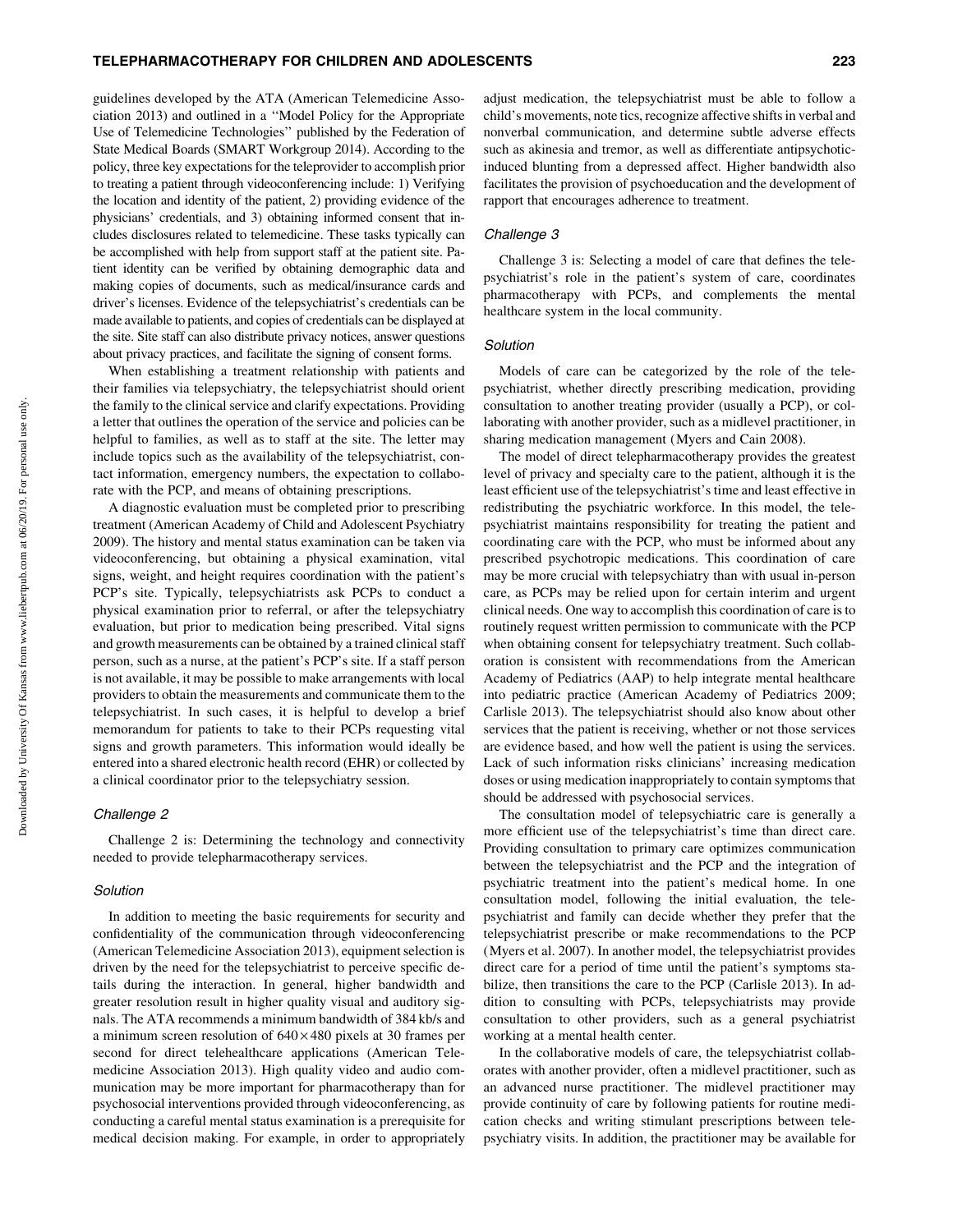## TELEPHARMACOTHERAPY FOR CHILDREN AND ADOLESCENTS 223

guidelines developed by the ATA (American Telemedicine Association 2013) and outlined in a ''Model Policy for the Appropriate Use of Telemedicine Technologies'' published by the Federation of State Medical Boards (SMART Workgroup 2014). According to the policy, three key expectations for the teleprovider to accomplish prior to treating a patient through videoconferencing include: 1) Verifying the location and identity of the patient, 2) providing evidence of the physicians' credentials, and 3) obtaining informed consent that includes disclosures related to telemedicine. These tasks typically can be accomplished with help from support staff at the patient site. Patient identity can be verified by obtaining demographic data and making copies of documents, such as medical/insurance cards and driver's licenses. Evidence of the telepsychiatrist's credentials can be made available to patients, and copies of credentials can be displayed at the site. Site staff can also distribute privacy notices, answer questions about privacy practices, and facilitate the signing of consent forms.

When establishing a treatment relationship with patients and their families via telepsychiatry, the telepsychiatrist should orient the family to the clinical service and clarify expectations. Providing a letter that outlines the operation of the service and policies can be helpful to families, as well as to staff at the site. The letter may include topics such as the availability of the telepsychiatrist, contact information, emergency numbers, the expectation to collaborate with the PCP, and means of obtaining prescriptions.

A diagnostic evaluation must be completed prior to prescribing treatment (American Academy of Child and Adolescent Psychiatry 2009). The history and mental status examination can be taken via videoconferencing, but obtaining a physical examination, vital signs, weight, and height requires coordination with the patient's PCP's site. Typically, telepsychiatrists ask PCPs to conduct a physical examination prior to referral, or after the telepsychiatry evaluation, but prior to medication being prescribed. Vital signs and growth measurements can be obtained by a trained clinical staff person, such as a nurse, at the patient's PCP's site. If a staff person is not available, it may be possible to make arrangements with local providers to obtain the measurements and communicate them to the telepsychiatrist. In such cases, it is helpful to develop a brief memorandum for patients to take to their PCPs requesting vital signs and growth parameters. This information would ideally be entered into a shared electronic health record (EHR) or collected by a clinical coordinator prior to the telepsychiatry session.

# Challenge 2

Challenge 2 is: Determining the technology and connectivity needed to provide telepharmacotherapy services.

# Solution

In addition to meeting the basic requirements for security and confidentiality of the communication through videoconferencing (American Telemedicine Association 2013), equipment selection is driven by the need for the telepsychiatrist to perceive specific details during the interaction. In general, higher bandwidth and greater resolution result in higher quality visual and auditory signals. The ATA recommends a minimum bandwidth of 384 kb/s and a minimum screen resolution of  $640 \times 480$  pixels at 30 frames per second for direct telehealthcare applications (American Telemedicine Association 2013). High quality video and audio communication may be more important for pharmacotherapy than for psychosocial interventions provided through videoconferencing, as conducting a careful mental status examination is a prerequisite for medical decision making. For example, in order to appropriately

adjust medication, the telepsychiatrist must be able to follow a child's movements, note tics, recognize affective shifts in verbal and nonverbal communication, and determine subtle adverse effects such as akinesia and tremor, as well as differentiate antipsychoticinduced blunting from a depressed affect. Higher bandwidth also facilitates the provision of psychoeducation and the development of rapport that encourages adherence to treatment.

#### Challenge 3

Challenge 3 is: Selecting a model of care that defines the telepsychiatrist's role in the patient's system of care, coordinates pharmacotherapy with PCPs, and complements the mental healthcare system in the local community.

## Solution

Models of care can be categorized by the role of the telepsychiatrist, whether directly prescribing medication, providing consultation to another treating provider (usually a PCP), or collaborating with another provider, such as a midlevel practitioner, in sharing medication management (Myers and Cain 2008).

The model of direct telepharmacotherapy provides the greatest level of privacy and specialty care to the patient, although it is the least efficient use of the telepsychiatrist's time and least effective in redistributing the psychiatric workforce. In this model, the telepsychiatrist maintains responsibility for treating the patient and coordinating care with the PCP, who must be informed about any prescribed psychotropic medications. This coordination of care may be more crucial with telepsychiatry than with usual in-person care, as PCPs may be relied upon for certain interim and urgent clinical needs. One way to accomplish this coordination of care is to routinely request written permission to communicate with the PCP when obtaining consent for telepsychiatry treatment. Such collaboration is consistent with recommendations from the American Academy of Pediatrics (AAP) to help integrate mental healthcare into pediatric practice (American Academy of Pediatrics 2009; Carlisle 2013). The telepsychiatrist should also know about other services that the patient is receiving, whether or not those services are evidence based, and how well the patient is using the services. Lack of such information risks clinicians' increasing medication doses or using medication inappropriately to contain symptoms that should be addressed with psychosocial services.

The consultation model of telepsychiatric care is generally a more efficient use of the telepsychiatrist's time than direct care. Providing consultation to primary care optimizes communication between the telepsychiatrist and the PCP and the integration of psychiatric treatment into the patient's medical home. In one consultation model, following the initial evaluation, the telepsychiatrist and family can decide whether they prefer that the telepsychiatrist prescribe or make recommendations to the PCP (Myers et al. 2007). In another model, the telepsychiatrist provides direct care for a period of time until the patient's symptoms stabilize, then transitions the care to the PCP (Carlisle 2013). In addition to consulting with PCPs, telepsychiatrists may provide consultation to other providers, such as a general psychiatrist working at a mental health center.

In the collaborative models of care, the telepsychiatrist collaborates with another provider, often a midlevel practitioner, such as an advanced nurse practitioner. The midlevel practitioner may provide continuity of care by following patients for routine medication checks and writing stimulant prescriptions between telepsychiatry visits. In addition, the practitioner may be available for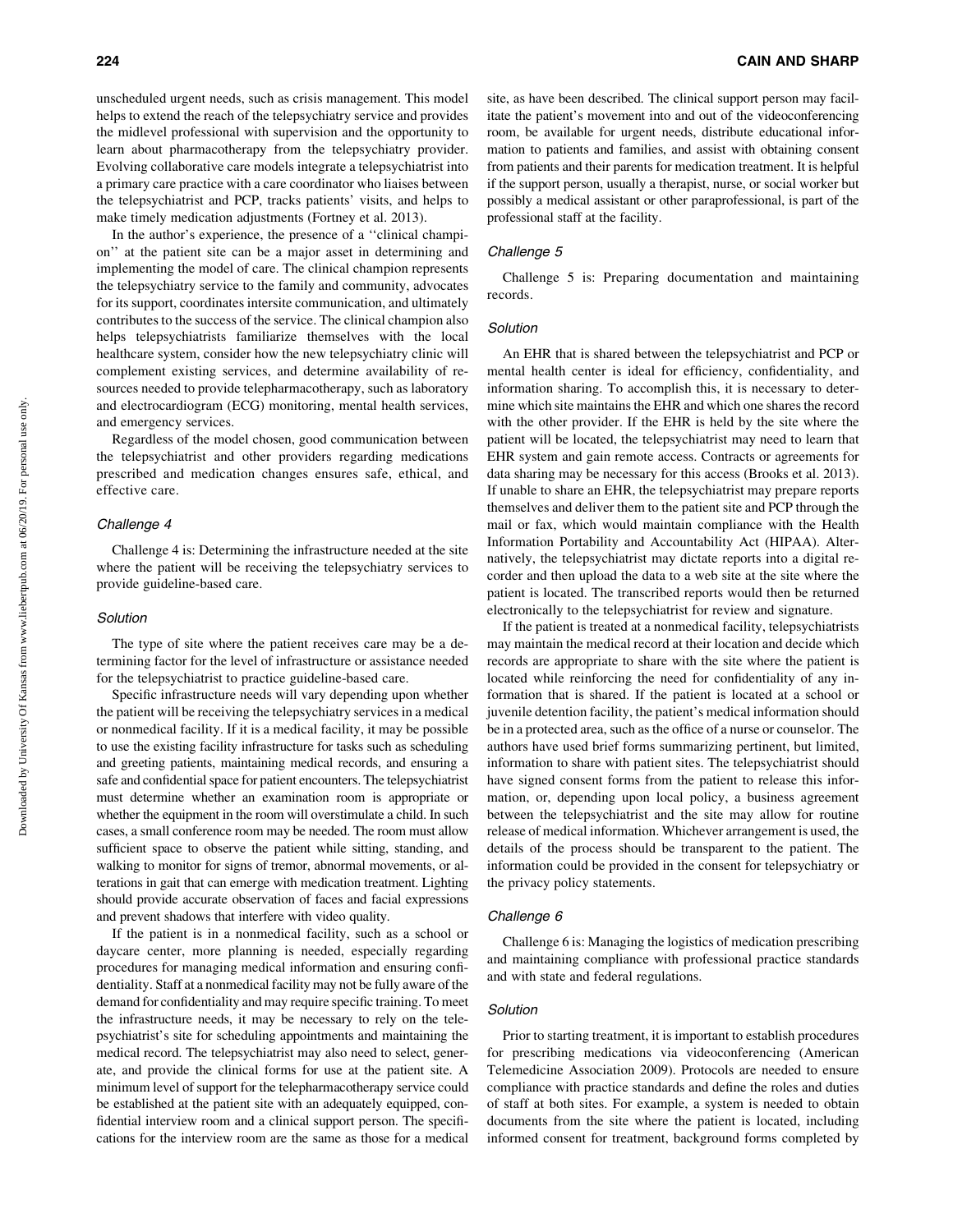unscheduled urgent needs, such as crisis management. This model helps to extend the reach of the telepsychiatry service and provides the midlevel professional with supervision and the opportunity to learn about pharmacotherapy from the telepsychiatry provider. Evolving collaborative care models integrate a telepsychiatrist into a primary care practice with a care coordinator who liaises between the telepsychiatrist and PCP, tracks patients' visits, and helps to make timely medication adjustments (Fortney et al. 2013).

In the author's experience, the presence of a ''clinical champion'' at the patient site can be a major asset in determining and implementing the model of care. The clinical champion represents the telepsychiatry service to the family and community, advocates for its support, coordinates intersite communication, and ultimately contributes to the success of the service. The clinical champion also helps telepsychiatrists familiarize themselves with the local healthcare system, consider how the new telepsychiatry clinic will complement existing services, and determine availability of resources needed to provide telepharmacotherapy, such as laboratory and electrocardiogram (ECG) monitoring, mental health services, and emergency services.

Regardless of the model chosen, good communication between the telepsychiatrist and other providers regarding medications prescribed and medication changes ensures safe, ethical, and effective care.

#### Challenge 4

Challenge 4 is: Determining the infrastructure needed at the site where the patient will be receiving the telepsychiatry services to provide guideline-based care.

#### **Solution**

The type of site where the patient receives care may be a determining factor for the level of infrastructure or assistance needed for the telepsychiatrist to practice guideline-based care.

Specific infrastructure needs will vary depending upon whether the patient will be receiving the telepsychiatry services in a medical or nonmedical facility. If it is a medical facility, it may be possible to use the existing facility infrastructure for tasks such as scheduling and greeting patients, maintaining medical records, and ensuring a safe and confidential space for patient encounters. The telepsychiatrist must determine whether an examination room is appropriate or whether the equipment in the room will overstimulate a child. In such cases, a small conference room may be needed. The room must allow sufficient space to observe the patient while sitting, standing, and walking to monitor for signs of tremor, abnormal movements, or alterations in gait that can emerge with medication treatment. Lighting should provide accurate observation of faces and facial expressions and prevent shadows that interfere with video quality.

If the patient is in a nonmedical facility, such as a school or daycare center, more planning is needed, especially regarding procedures for managing medical information and ensuring confidentiality. Staff at a nonmedical facility may not be fully aware of the demand for confidentiality and may require specific training. To meet the infrastructure needs, it may be necessary to rely on the telepsychiatrist's site for scheduling appointments and maintaining the medical record. The telepsychiatrist may also need to select, generate, and provide the clinical forms for use at the patient site. A minimum level of support for the telepharmacotherapy service could be established at the patient site with an adequately equipped, confidential interview room and a clinical support person. The specifications for the interview room are the same as those for a medical

site, as have been described. The clinical support person may facilitate the patient's movement into and out of the videoconferencing room, be available for urgent needs, distribute educational information to patients and families, and assist with obtaining consent from patients and their parents for medication treatment. It is helpful if the support person, usually a therapist, nurse, or social worker but possibly a medical assistant or other paraprofessional, is part of the professional staff at the facility.

## Challenge 5

Challenge 5 is: Preparing documentation and maintaining records.

#### **Solution**

An EHR that is shared between the telepsychiatrist and PCP or mental health center is ideal for efficiency, confidentiality, and information sharing. To accomplish this, it is necessary to determine which site maintains the EHR and which one shares the record with the other provider. If the EHR is held by the site where the patient will be located, the telepsychiatrist may need to learn that EHR system and gain remote access. Contracts or agreements for data sharing may be necessary for this access (Brooks et al. 2013). If unable to share an EHR, the telepsychiatrist may prepare reports themselves and deliver them to the patient site and PCP through the mail or fax, which would maintain compliance with the Health Information Portability and Accountability Act (HIPAA). Alternatively, the telepsychiatrist may dictate reports into a digital recorder and then upload the data to a web site at the site where the patient is located. The transcribed reports would then be returned electronically to the telepsychiatrist for review and signature.

If the patient is treated at a nonmedical facility, telepsychiatrists may maintain the medical record at their location and decide which records are appropriate to share with the site where the patient is located while reinforcing the need for confidentiality of any information that is shared. If the patient is located at a school or juvenile detention facility, the patient's medical information should be in a protected area, such as the office of a nurse or counselor. The authors have used brief forms summarizing pertinent, but limited, information to share with patient sites. The telepsychiatrist should have signed consent forms from the patient to release this information, or, depending upon local policy, a business agreement between the telepsychiatrist and the site may allow for routine release of medical information. Whichever arrangement is used, the details of the process should be transparent to the patient. The information could be provided in the consent for telepsychiatry or the privacy policy statements.

# Challenge 6

Challenge 6 is: Managing the logistics of medication prescribing and maintaining compliance with professional practice standards and with state and federal regulations.

## **Solution**

Prior to starting treatment, it is important to establish procedures for prescribing medications via videoconferencing (American Telemedicine Association 2009). Protocols are needed to ensure compliance with practice standards and define the roles and duties of staff at both sites. For example, a system is needed to obtain documents from the site where the patient is located, including informed consent for treatment, background forms completed by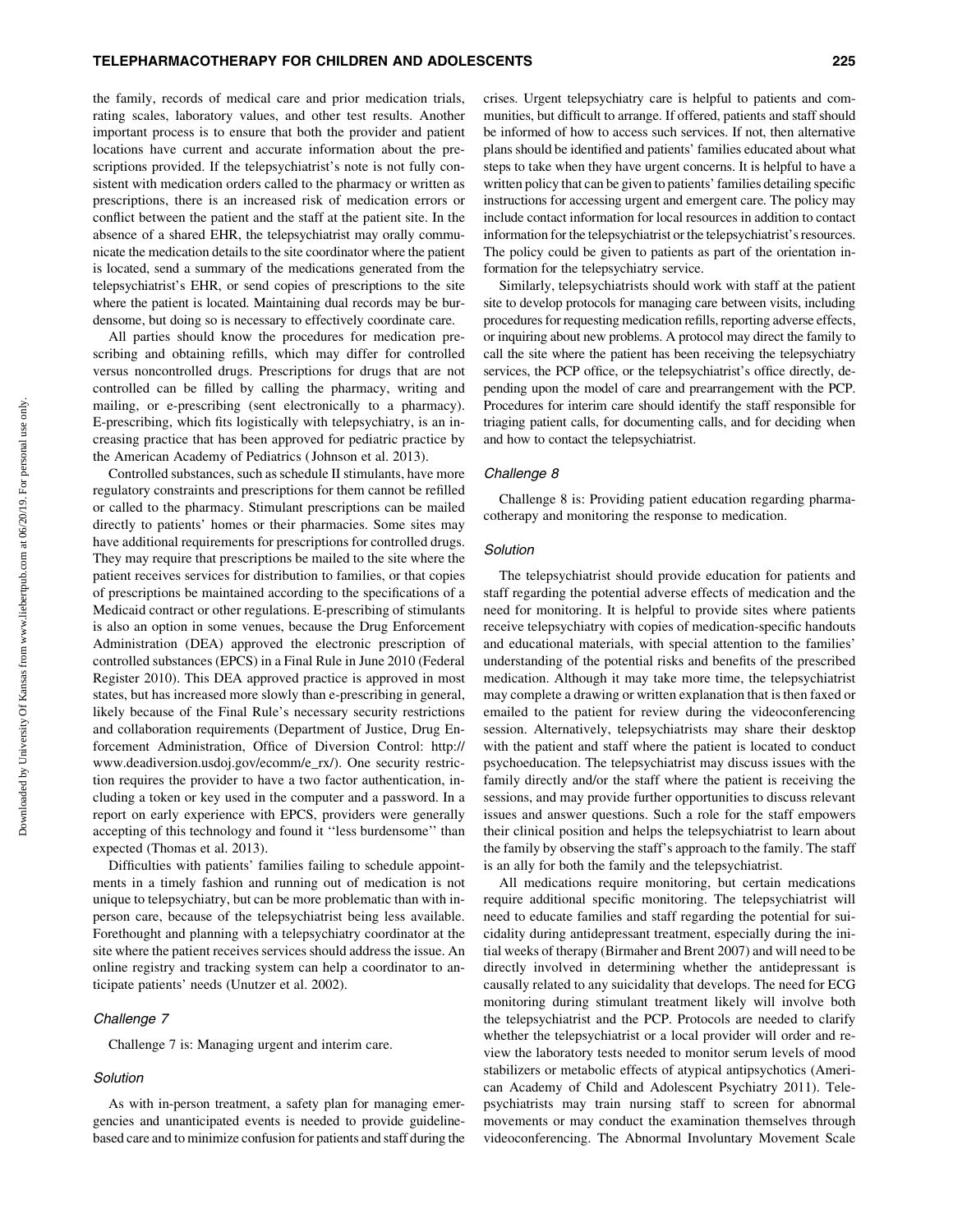## TELEPHARMACOTHERAPY FOR CHILDREN AND ADOLESCENTS 225

the family, records of medical care and prior medication trials, rating scales, laboratory values, and other test results. Another important process is to ensure that both the provider and patient locations have current and accurate information about the prescriptions provided. If the telepsychiatrist's note is not fully consistent with medication orders called to the pharmacy or written as prescriptions, there is an increased risk of medication errors or conflict between the patient and the staff at the patient site. In the absence of a shared EHR, the telepsychiatrist may orally communicate the medication details to the site coordinator where the patient is located, send a summary of the medications generated from the telepsychiatrist's EHR, or send copies of prescriptions to the site where the patient is located. Maintaining dual records may be burdensome, but doing so is necessary to effectively coordinate care.

All parties should know the procedures for medication prescribing and obtaining refills, which may differ for controlled versus noncontrolled drugs. Prescriptions for drugs that are not controlled can be filled by calling the pharmacy, writing and mailing, or e-prescribing (sent electronically to a pharmacy). E-prescribing, which fits logistically with telepsychiatry, is an increasing practice that has been approved for pediatric practice by the American Academy of Pediatrics (Johnson et al. 2013).

Controlled substances, such as schedule II stimulants, have more regulatory constraints and prescriptions for them cannot be refilled or called to the pharmacy. Stimulant prescriptions can be mailed directly to patients' homes or their pharmacies. Some sites may have additional requirements for prescriptions for controlled drugs. They may require that prescriptions be mailed to the site where the patient receives services for distribution to families, or that copies of prescriptions be maintained according to the specifications of a Medicaid contract or other regulations. E-prescribing of stimulants is also an option in some venues, because the Drug Enforcement Administration (DEA) approved the electronic prescription of controlled substances (EPCS) in a Final Rule in June 2010 (Federal Register 2010). This DEA approved practice is approved in most states, but has increased more slowly than e-prescribing in general, likely because of the Final Rule's necessary security restrictions and collaboration requirements (Department of Justice, Drug Enforcement Administration, Office of Diversion Control: http:// www.deadiversion.usdoj.gov/ecomm/e\_rx/). One security restriction requires the provider to have a two factor authentication, including a token or key used in the computer and a password. In a report on early experience with EPCS, providers were generally accepting of this technology and found it ''less burdensome'' than expected (Thomas et al. 2013).

Difficulties with patients' families failing to schedule appointments in a timely fashion and running out of medication is not unique to telepsychiatry, but can be more problematic than with inperson care, because of the telepsychiatrist being less available. Forethought and planning with a telepsychiatry coordinator at the site where the patient receives services should address the issue. An online registry and tracking system can help a coordinator to anticipate patients' needs (Unutzer et al. 2002).

# Challenge 7

Challenge 7 is: Managing urgent and interim care.

#### **Solution**

As with in-person treatment, a safety plan for managing emergencies and unanticipated events is needed to provide guidelinebased care and to minimize confusion for patients and staff during the crises. Urgent telepsychiatry care is helpful to patients and communities, but difficult to arrange. If offered, patients and staff should be informed of how to access such services. If not, then alternative plans should be identified and patients' families educated about what steps to take when they have urgent concerns. It is helpful to have a written policy that can be given to patients' families detailing specific instructions for accessing urgent and emergent care. The policy may include contact information for local resources in addition to contact information for the telepsychiatrist or the telepsychiatrist's resources. The policy could be given to patients as part of the orientation information for the telepsychiatry service.

Similarly, telepsychiatrists should work with staff at the patient site to develop protocols for managing care between visits, including procedures for requesting medication refills, reporting adverse effects, or inquiring about new problems. A protocol may direct the family to call the site where the patient has been receiving the telepsychiatry services, the PCP office, or the telepsychiatrist's office directly, depending upon the model of care and prearrangement with the PCP. Procedures for interim care should identify the staff responsible for triaging patient calls, for documenting calls, and for deciding when and how to contact the telepsychiatrist.

# Challenge 8

Challenge 8 is: Providing patient education regarding pharmacotherapy and monitoring the response to medication.

#### **Solution**

The telepsychiatrist should provide education for patients and staff regarding the potential adverse effects of medication and the need for monitoring. It is helpful to provide sites where patients receive telepsychiatry with copies of medication-specific handouts and educational materials, with special attention to the families' understanding of the potential risks and benefits of the prescribed medication. Although it may take more time, the telepsychiatrist may complete a drawing or written explanation that is then faxed or emailed to the patient for review during the videoconferencing session. Alternatively, telepsychiatrists may share their desktop with the patient and staff where the patient is located to conduct psychoeducation. The telepsychiatrist may discuss issues with the family directly and/or the staff where the patient is receiving the sessions, and may provide further opportunities to discuss relevant issues and answer questions. Such a role for the staff empowers their clinical position and helps the telepsychiatrist to learn about the family by observing the staff's approach to the family. The staff is an ally for both the family and the telepsychiatrist.

All medications require monitoring, but certain medications require additional specific monitoring. The telepsychiatrist will need to educate families and staff regarding the potential for suicidality during antidepressant treatment, especially during the initial weeks of therapy (Birmaher and Brent 2007) and will need to be directly involved in determining whether the antidepressant is causally related to any suicidality that develops. The need for ECG monitoring during stimulant treatment likely will involve both the telepsychiatrist and the PCP. Protocols are needed to clarify whether the telepsychiatrist or a local provider will order and review the laboratory tests needed to monitor serum levels of mood stabilizers or metabolic effects of atypical antipsychotics (American Academy of Child and Adolescent Psychiatry 2011). Telepsychiatrists may train nursing staff to screen for abnormal movements or may conduct the examination themselves through videoconferencing. The Abnormal Involuntary Movement Scale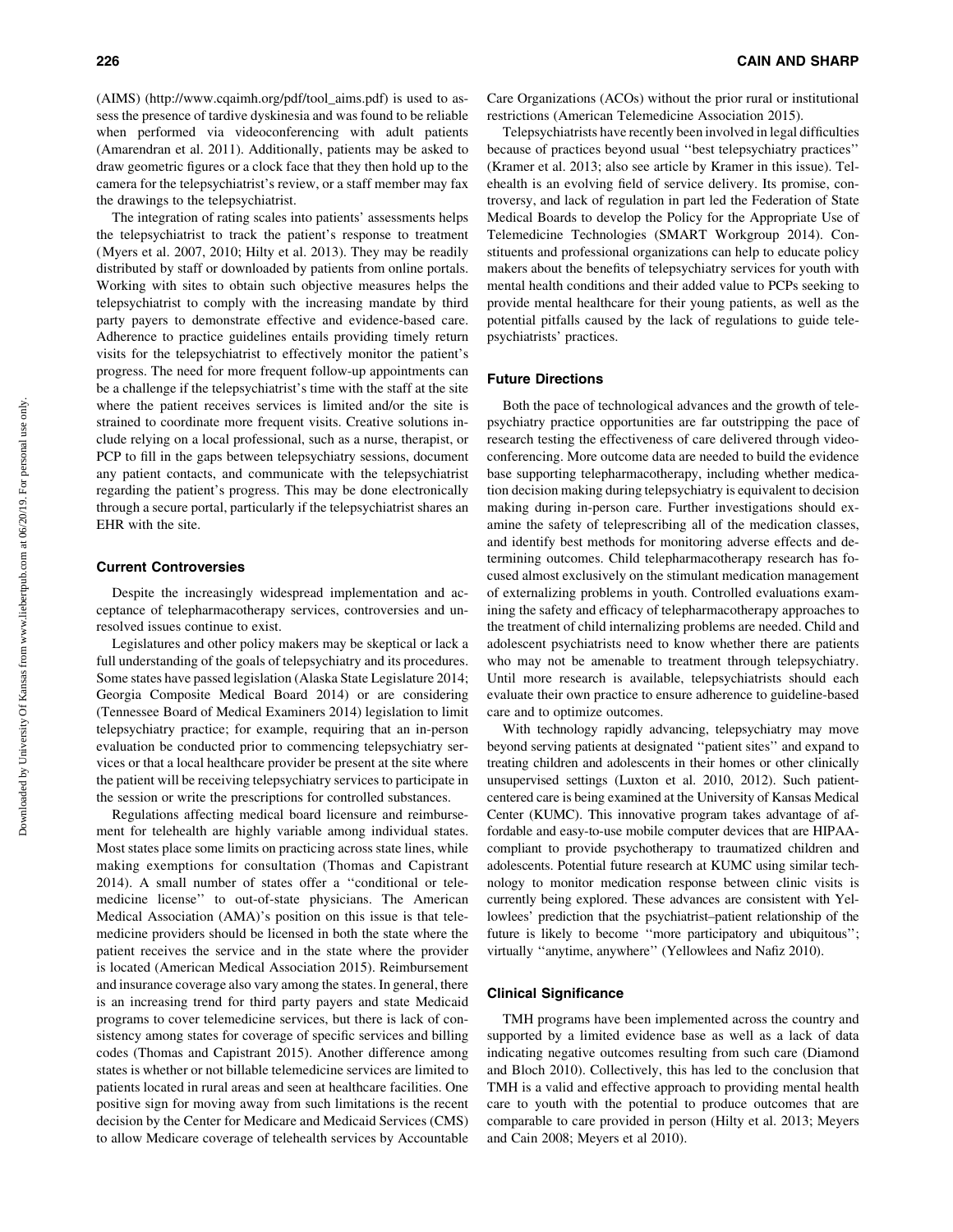(AIMS) (http://www.cqaimh.org/pdf/tool\_aims.pdf) is used to assess the presence of tardive dyskinesia and was found to be reliable when performed via videoconferencing with adult patients (Amarendran et al. 2011). Additionally, patients may be asked to draw geometric figures or a clock face that they then hold up to the camera for the telepsychiatrist's review, or a staff member may fax the drawings to the telepsychiatrist.

The integration of rating scales into patients' assessments helps the telepsychiatrist to track the patient's response to treatment (Myers et al. 2007, 2010; Hilty et al. 2013). They may be readily distributed by staff or downloaded by patients from online portals. Working with sites to obtain such objective measures helps the telepsychiatrist to comply with the increasing mandate by third party payers to demonstrate effective and evidence-based care. Adherence to practice guidelines entails providing timely return visits for the telepsychiatrist to effectively monitor the patient's progress. The need for more frequent follow-up appointments can be a challenge if the telepsychiatrist's time with the staff at the site where the patient receives services is limited and/or the site is strained to coordinate more frequent visits. Creative solutions include relying on a local professional, such as a nurse, therapist, or PCP to fill in the gaps between telepsychiatry sessions, document any patient contacts, and communicate with the telepsychiatrist regarding the patient's progress. This may be done electronically through a secure portal, particularly if the telepsychiatrist shares an EHR with the site.

## Current Controversies

Despite the increasingly widespread implementation and acceptance of telepharmacotherapy services, controversies and unresolved issues continue to exist.

Legislatures and other policy makers may be skeptical or lack a full understanding of the goals of telepsychiatry and its procedures. Some states have passed legislation (Alaska State Legislature 2014; Georgia Composite Medical Board 2014) or are considering (Tennessee Board of Medical Examiners 2014) legislation to limit telepsychiatry practice; for example, requiring that an in-person evaluation be conducted prior to commencing telepsychiatry services or that a local healthcare provider be present at the site where the patient will be receiving telepsychiatry services to participate in the session or write the prescriptions for controlled substances.

Regulations affecting medical board licensure and reimbursement for telehealth are highly variable among individual states. Most states place some limits on practicing across state lines, while making exemptions for consultation (Thomas and Capistrant 2014). A small number of states offer a ''conditional or telemedicine license'' to out-of-state physicians. The American Medical Association (AMA)'s position on this issue is that telemedicine providers should be licensed in both the state where the patient receives the service and in the state where the provider is located (American Medical Association 2015). Reimbursement and insurance coverage also vary among the states. In general, there is an increasing trend for third party payers and state Medicaid programs to cover telemedicine services, but there is lack of consistency among states for coverage of specific services and billing codes (Thomas and Capistrant 2015). Another difference among states is whether or not billable telemedicine services are limited to patients located in rural areas and seen at healthcare facilities. One positive sign for moving away from such limitations is the recent decision by the Center for Medicare and Medicaid Services (CMS) to allow Medicare coverage of telehealth services by Accountable Care Organizations (ACOs) without the prior rural or institutional restrictions (American Telemedicine Association 2015).

Telepsychiatrists have recently been involved in legal difficulties because of practices beyond usual ''best telepsychiatry practices'' (Kramer et al. 2013; also see article by Kramer in this issue). Telehealth is an evolving field of service delivery. Its promise, controversy, and lack of regulation in part led the Federation of State Medical Boards to develop the Policy for the Appropriate Use of Telemedicine Technologies (SMART Workgroup 2014). Constituents and professional organizations can help to educate policy makers about the benefits of telepsychiatry services for youth with mental health conditions and their added value to PCPs seeking to provide mental healthcare for their young patients, as well as the potential pitfalls caused by the lack of regulations to guide telepsychiatrists' practices.

# Future Directions

Both the pace of technological advances and the growth of telepsychiatry practice opportunities are far outstripping the pace of research testing the effectiveness of care delivered through videoconferencing. More outcome data are needed to build the evidence base supporting telepharmacotherapy, including whether medication decision making during telepsychiatry is equivalent to decision making during in-person care. Further investigations should examine the safety of teleprescribing all of the medication classes, and identify best methods for monitoring adverse effects and determining outcomes. Child telepharmacotherapy research has focused almost exclusively on the stimulant medication management of externalizing problems in youth. Controlled evaluations examining the safety and efficacy of telepharmacotherapy approaches to the treatment of child internalizing problems are needed. Child and adolescent psychiatrists need to know whether there are patients who may not be amenable to treatment through telepsychiatry. Until more research is available, telepsychiatrists should each evaluate their own practice to ensure adherence to guideline-based care and to optimize outcomes.

With technology rapidly advancing, telepsychiatry may move beyond serving patients at designated ''patient sites'' and expand to treating children and adolescents in their homes or other clinically unsupervised settings (Luxton et al. 2010, 2012). Such patientcentered care is being examined at the University of Kansas Medical Center (KUMC). This innovative program takes advantage of affordable and easy-to-use mobile computer devices that are HIPAAcompliant to provide psychotherapy to traumatized children and adolescents. Potential future research at KUMC using similar technology to monitor medication response between clinic visits is currently being explored. These advances are consistent with Yellowlees' prediction that the psychiatrist–patient relationship of the future is likely to become ''more participatory and ubiquitous''; virtually ''anytime, anywhere'' (Yellowlees and Nafiz 2010).

## Clinical Significance

TMH programs have been implemented across the country and supported by a limited evidence base as well as a lack of data indicating negative outcomes resulting from such care (Diamond and Bloch 2010). Collectively, this has led to the conclusion that TMH is a valid and effective approach to providing mental health care to youth with the potential to produce outcomes that are comparable to care provided in person (Hilty et al. 2013; Meyers and Cain 2008; Meyers et al 2010).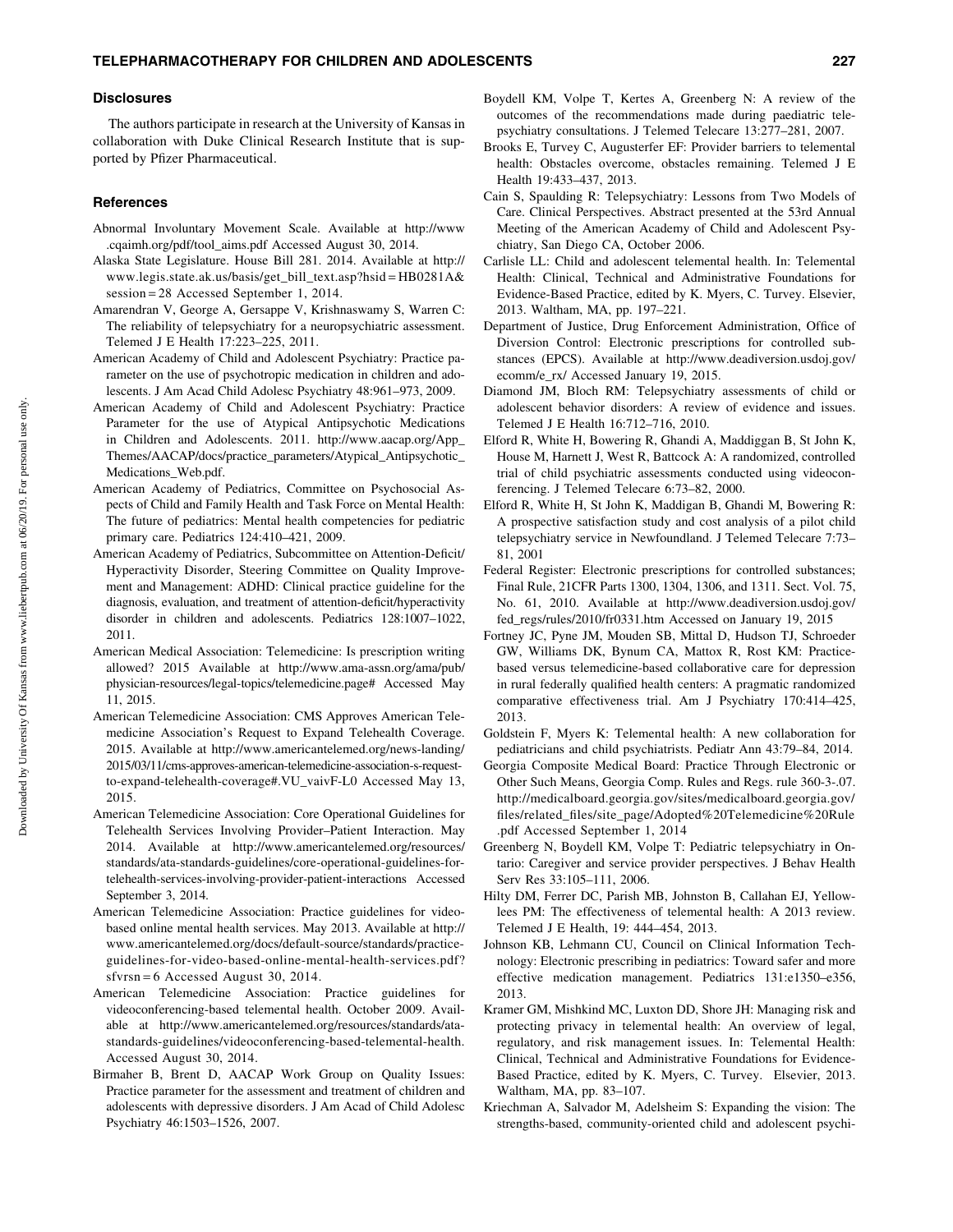#### **Disclosures**

The authors participate in research at the University of Kansas in collaboration with Duke Clinical Research Institute that is supported by Pfizer Pharmaceutical.

# **References**

- Abnormal Involuntary Movement Scale. Available at http://www .cqaimh.org/pdf/tool\_aims.pdf Accessed August 30, 2014.
- Alaska State Legislature. House Bill 281. 2014. Available at http:// www.legis.state.ak.us/basis/get\_bill\_text.asp?hsid = HB0281A& session = 28 Accessed September 1, 2014.
- Amarendran V, George A, Gersappe V, Krishnaswamy S, Warren C: The reliability of telepsychiatry for a neuropsychiatric assessment. Telemed J E Health 17:223–225, 2011.
- American Academy of Child and Adolescent Psychiatry: Practice parameter on the use of psychotropic medication in children and adolescents. J Am Acad Child Adolesc Psychiatry 48:961–973, 2009.
- American Academy of Child and Adolescent Psychiatry: Practice Parameter for the use of Atypical Antipsychotic Medications in Children and Adolescents. 2011. http://www.aacap.org/App\_ Themes/AACAP/docs/practice\_parameters/Atypical\_Antipsychotic\_ Medications\_Web.pdf.
- American Academy of Pediatrics, Committee on Psychosocial Aspects of Child and Family Health and Task Force on Mental Health: The future of pediatrics: Mental health competencies for pediatric primary care. Pediatrics 124:410–421, 2009.
- American Academy of Pediatrics, Subcommittee on Attention-Deficit/ Hyperactivity Disorder, Steering Committee on Quality Improvement and Management: ADHD: Clinical practice guideline for the diagnosis, evaluation, and treatment of attention-deficit/hyperactivity disorder in children and adolescents. Pediatrics 128:1007–1022, 2011.
- American Medical Association: Telemedicine: Is prescription writing allowed? 2015 Available at http://www.ama-assn.org/ama/pub/ physician-resources/legal-topics/telemedicine.page# Accessed May 11, 2015.
- American Telemedicine Association: CMS Approves American Telemedicine Association's Request to Expand Telehealth Coverage. 2015. Available at http://www.americantelemed.org/news-landing/ 2015/03/11/cms-approves-american-telemedicine-association-s-requestto-expand-telehealth-coverage#.VU\_vaivF-L0 Accessed May 13, 2015.
- American Telemedicine Association: Core Operational Guidelines for Telehealth Services Involving Provider–Patient Interaction. May 2014. Available at http://www.americantelemed.org/resources/ standards/ata-standards-guidelines/core-operational-guidelines-fortelehealth-services-involving-provider-patient-interactions Accessed September 3, 2014.
- American Telemedicine Association: Practice guidelines for videobased online mental health services. May 2013. Available at http:// www.americantelemed.org/docs/default-source/standards/practiceguidelines-for-video-based-online-mental-health-services.pdf? sfvrsn = 6 Accessed August 30, 2014.
- American Telemedicine Association: Practice guidelines for videoconferencing-based telemental health. October 2009. Available at http://www.americantelemed.org/resources/standards/atastandards-guidelines/videoconferencing-based-telemental-health. Accessed August 30, 2014.
- Birmaher B, Brent D, AACAP Work Group on Quality Issues: Practice parameter for the assessment and treatment of children and adolescents with depressive disorders. J Am Acad of Child Adolesc Psychiatry 46:1503–1526, 2007.
- Boydell KM, Volpe T, Kertes A, Greenberg N: A review of the outcomes of the recommendations made during paediatric telepsychiatry consultations. J Telemed Telecare 13:277–281, 2007.
- Brooks E, Turvey C, Augusterfer EF: Provider barriers to telemental health: Obstacles overcome, obstacles remaining. Telemed J E Health 19:433–437, 2013.
- Cain S, Spaulding R: Telepsychiatry: Lessons from Two Models of Care. Clinical Perspectives. Abstract presented at the 53rd Annual Meeting of the American Academy of Child and Adolescent Psychiatry, San Diego CA, October 2006.
- Carlisle LL: Child and adolescent telemental health. In: Telemental Health: Clinical, Technical and Administrative Foundations for Evidence-Based Practice, edited by K. Myers, C. Turvey. Elsevier, 2013. Waltham, MA, pp. 197–221.
- Department of Justice, Drug Enforcement Administration, Office of Diversion Control: Electronic prescriptions for controlled substances (EPCS). Available at http://www.deadiversion.usdoj.gov/ ecomm/e\_rx/ Accessed January 19, 2015.
- Diamond JM, Bloch RM: Telepsychiatry assessments of child or adolescent behavior disorders: A review of evidence and issues. Telemed J E Health 16:712–716, 2010.
- Elford R, White H, Bowering R, Ghandi A, Maddiggan B, St John K, House M, Harnett J, West R, Battcock A: A randomized, controlled trial of child psychiatric assessments conducted using videoconferencing. J Telemed Telecare 6:73–82, 2000.
- Elford R, White H, St John K, Maddigan B, Ghandi M, Bowering R: A prospective satisfaction study and cost analysis of a pilot child telepsychiatry service in Newfoundland. J Telemed Telecare 7:73– 81, 2001
- Federal Register: Electronic prescriptions for controlled substances; Final Rule, 21CFR Parts 1300, 1304, 1306, and 1311. Sect. Vol. 75, No. 61, 2010. Available at http://www.deadiversion.usdoj.gov/ fed\_regs/rules/2010/fr0331.htm Accessed on January 19, 2015
- Fortney JC, Pyne JM, Mouden SB, Mittal D, Hudson TJ, Schroeder GW, Williams DK, Bynum CA, Mattox R, Rost KM: Practicebased versus telemedicine-based collaborative care for depression in rural federally qualified health centers: A pragmatic randomized comparative effectiveness trial. Am J Psychiatry 170:414–425, 2013.
- Goldstein F, Myers K: Telemental health: A new collaboration for pediatricians and child psychiatrists. Pediatr Ann 43:79–84, 2014.
- Georgia Composite Medical Board: Practice Through Electronic or Other Such Means, Georgia Comp. Rules and Regs. rule 360-3-.07. http://medicalboard.georgia.gov/sites/medicalboard.georgia.gov/ files/related\_files/site\_page/Adopted%20Telemedicine%20Rule .pdf Accessed September 1, 2014
- Greenberg N, Boydell KM, Volpe T: Pediatric telepsychiatry in Ontario: Caregiver and service provider perspectives. J Behav Health Serv Res 33:105–111, 2006.
- Hilty DM, Ferrer DC, Parish MB, Johnston B, Callahan EJ, Yellowlees PM: The effectiveness of telemental health: A 2013 review. Telemed J E Health, 19: 444–454, 2013.
- Johnson KB, Lehmann CU, Council on Clinical Information Technology: Electronic prescribing in pediatrics: Toward safer and more effective medication management. Pediatrics 131:e1350–e356, 2013.
- Kramer GM, Mishkind MC, Luxton DD, Shore JH: Managing risk and protecting privacy in telemental health: An overview of legal, regulatory, and risk management issues. In: Telemental Health: Clinical, Technical and Administrative Foundations for Evidence-Based Practice, edited by K. Myers, C. Turvey. Elsevier, 2013. Waltham, MA, pp. 83–107.
- Kriechman A, Salvador M, Adelsheim S: Expanding the vision: The strengths-based, community-oriented child and adolescent psychi-